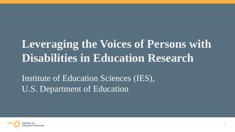### **Leveraging the Voices of Persons with Disabilities in Education Research**

Institute of Education Sciences (IES), U.S. Department of Education

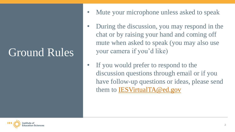### Ground Rules

- Mute your microphone unless asked to speak
- During the discussion, you may respond in the chat or by raising your hand and coming off mute when asked to speak (you may also use your camera if you'd like)
- If you would prefer to respond to the discussion questions through email or if you have follow-up questions or ideas, please send them to [IESVirtualTA@ed.gov](mailto:IESVirtualTA@ed.gov)

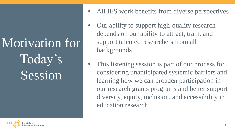Motivation for Today's Session

- All IES work benefits from diverse perspectives
- Our ability to support high-quality research depends on our ability to attract, train, and support talented researchers from all backgrounds
- This listening session is part of our process for considering unanticipated systemic barriers and learning how we can broaden participation in our research grants programs and better support diversity, equity, inclusion, and accessibility in education research

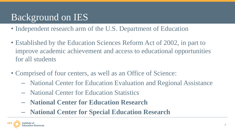#### Background on IES

- Independent research arm of the U.S. Department of Education
- Established by the Education Sciences Reform Act of 2002, in part to improve academic achievement and access to educational opportunities for all students
- Comprised of four centers, as well as an Office of Science:
	- National Center for Education Evaluation and Regional Assistance
	- National Center for Education Statistics
	- **National Center for Education Research**
	- **National Center for Special Education Research**

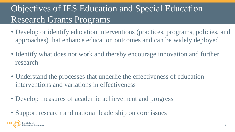#### Objectives of IES Education and Special Education Research Grants Programs

- Develop or identify education interventions (practices, programs, policies, and approaches) that enhance education outcomes and can be widely deployed
- Identify what does not work and thereby encourage innovation and further research
- Understand the processes that underlie the effectiveness of education interventions and variations in effectiveness
- Develop measures of academic achievement and progress
- Support research and national leadership on core issues

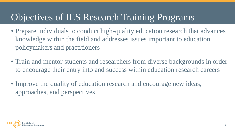#### Objectives of IES Research Training Programs

- Prepare individuals to conduct high-quality education research that advances knowledge within the field and addresses issues important to education policymakers and practitioners
- Train and mentor students and researchers from diverse backgrounds in order to encourage their entry into and success within education research careers
- Improve the quality of education research and encourage new ideas, approaches, and perspectives

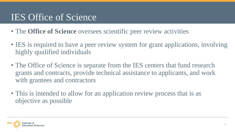#### IES Office of Science

- The **Office of Science** oversees scientific peer review activities
- IES is required to have a peer review system for grant applications, involving highly qualified individuals
- The Office of Science is separate from the IES centers that fund research grants and contracts, provide technical assistance to applicants, and work with grantees and contractors
- This is intended to allow for an application review process that is as objective as possible

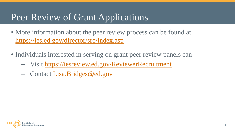#### Peer Review of Grant Applications

- More information about the peer review process can be found at <https://ies.ed.gov/director/sro/index.asp>
- Individuals interested in serving on grant peer review panels can
	- Visit <https://iesreview.ed.gov/ReviewerRecruitment>
	- Contact [Lisa.Bridges@ed.gov](mailto:Lisa.Bridges@ed.gov)

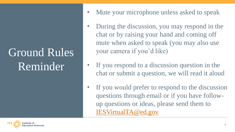## Ground Rules Reminder

- Mute your microphone unless asked to speak
- During the discussion, you may respond in the chat or by raising your hand and coming off mute when asked to speak (you may also use your camera if you'd like)
- If you respond to a discussion question in the chat or submit a question, we will read it aloud
- If you would prefer to respond to the discussion questions through email or if you have followup questions or ideas, please send them to [IESVirtualTA@ed.gov](mailto:IESVirtualTA@ed.gov)

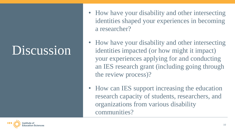## **Discussion**

- How have your disability and other intersecting identities shaped your experiences in becoming a researcher?
- How have your disability and other intersecting identities impacted (or how might it impact) your experiences applying for and conducting an IES research grant (including going through the review process)?
- How can IES support increasing the education research capacity of students, researchers, and organizations from various disability communities?